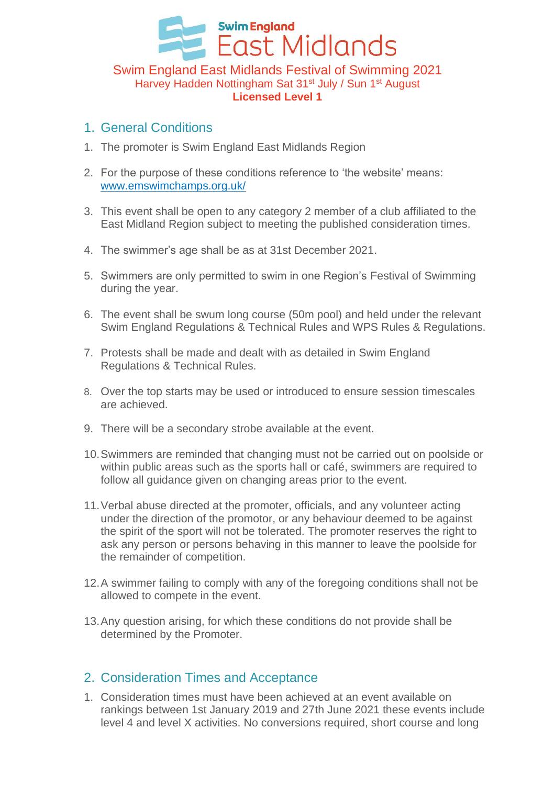# **Swim England East Midlands** Swim England East Midlands Festival of Swimming 2021 Harvey Hadden Nottingham Sat 31<sup>st</sup> July / Sun 1<sup>st</sup> August **Licensed Level 1**

#### 1. General Conditions

- 1. The promoter is Swim England East Midlands Region
- 2. For the purpose of these conditions reference to 'the website' means: [www.emswimchamps.org.uk/](http://www.emswimchamps.org.uk/)
- 3. This event shall be open to any category 2 member of a club affiliated to the East Midland Region subject to meeting the published consideration times.
- 4. The swimmer's age shall be as at 31st December 2021.
- 5. Swimmers are only permitted to swim in one Region's Festival of Swimming during the year.
- 6. The event shall be swum long course (50m pool) and held under the relevant Swim England Regulations & Technical Rules and WPS Rules & Regulations.
- 7. Protests shall be made and dealt with as detailed in Swim England Regulations & Technical Rules.
- 8. Over the top starts may be used or introduced to ensure session timescales are achieved.
- 9. There will be a secondary strobe available at the event.
- 10.Swimmers are reminded that changing must not be carried out on poolside or within public areas such as the sports hall or café, swimmers are required to follow all guidance given on changing areas prior to the event.
- 11.Verbal abuse directed at the promoter, officials, and any volunteer acting under the direction of the promotor, or any behaviour deemed to be against the spirit of the sport will not be tolerated. The promoter reserves the right to ask any person or persons behaving in this manner to leave the poolside for the remainder of competition.
- 12.A swimmer failing to comply with any of the foregoing conditions shall not be allowed to compete in the event.
- 13.Any question arising, for which these conditions do not provide shall be determined by the Promoter.

### 2. Consideration Times and Acceptance

1. Consideration times must have been achieved at an event available on rankings between 1st January 2019 and 27th June 2021 these events include level 4 and level X activities. No conversions required, short course and long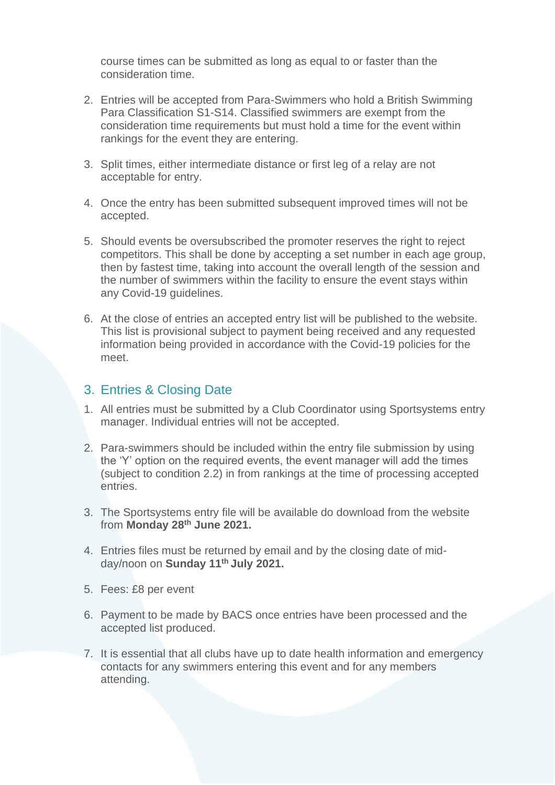course times can be submitted as long as equal to or faster than the consideration time.

- 2. Entries will be accepted from Para-Swimmers who hold a British Swimming Para Classification S1-S14. Classified swimmers are exempt from the consideration time requirements but must hold a time for the event within rankings for the event they are entering.
- 3. Split times, either intermediate distance or first leg of a relay are not acceptable for entry.
- 4. Once the entry has been submitted subsequent improved times will not be accepted.
- 5. Should events be oversubscribed the promoter reserves the right to reject competitors. This shall be done by accepting a set number in each age group, then by fastest time, taking into account the overall length of the session and the number of swimmers within the facility to ensure the event stays within any Covid-19 guidelines.
- 6. At the close of entries an accepted entry list will be published to the website. This list is provisional subject to payment being received and any requested information being provided in accordance with the Covid-19 policies for the meet.

#### 3. Entries & Closing Date

- 1. All entries must be submitted by a Club Coordinator using Sportsystems entry manager. Individual entries will not be accepted.
- 2. Para-swimmers should be included within the entry file submission by using the 'Y' option on the required events, the event manager will add the times (subject to condition 2.2) in from rankings at the time of processing accepted entries.
- 3. The Sportsystems entry file will be available do download from the website from **Monday 28th June 2021.**
- 4. Entries files must be returned by email and by the closing date of midday/noon on **Sunday 11th July 2021.**
- 5. Fees: £8 per event
- 6. Payment to be made by BACS once entries have been processed and the accepted list produced.
- 7. It is essential that all clubs have up to date health information and emergency contacts for any swimmers entering this event and for any members attending.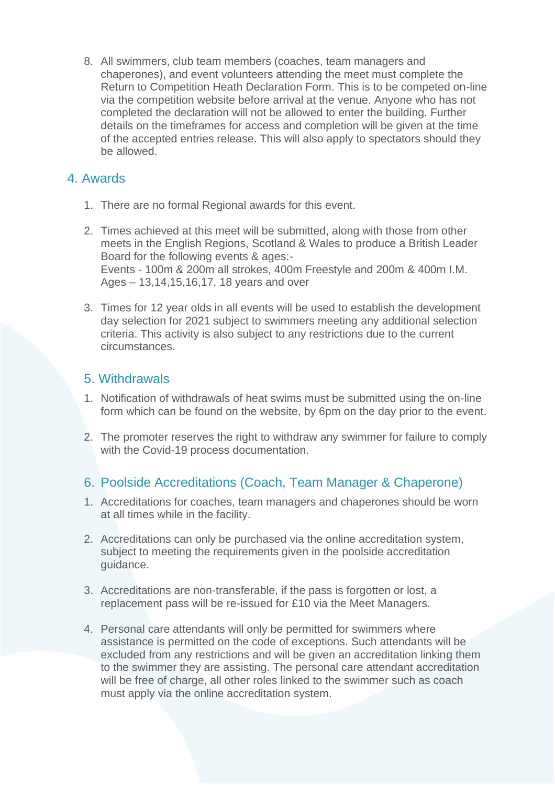8. All swimmers, club team members (coaches, team managers and chaperones), and event volunteers attending the meet must complete the Return to Competition Heath Declaration Form. This is to be competed on-line via the competition website before arrival at the venue. Anyone who has not completed the declaration will not be allowed to enter the building. Further details on the timeframes for access and completion will be given at the time of the accepted entries release. This will also apply to spectators should they be allowed.

# 4. Awards

- 1. There are no formal Regional awards for this event.
- 2. Times achieved at this meet will be submitted, along with those from other meets in the English Regions, Scotland & Wales to produce a British Leader Board for the following events & ages:- Events - 100m & 200m all strokes, 400m Freestyle and 200m & 400m I.M. Ages – 13,14,15,16,17, 18 years and over
- 3. Times for 12 year olds in all events will be used to establish the development day selection for 2021 subject to swimmers meeting any additional selection criteria. This activity is also subject to any restrictions due to the current circumstances.

# 5. Withdrawals

- 1. Notification of withdrawals of heat swims must be submitted using the on-line form which can be found on the website, by 6pm on the day prior to the event.
- 2. The promoter reserves the right to withdraw any swimmer for failure to comply with the Covid-19 process documentation.

### 6. Poolside Accreditations (Coach, Team Manager & Chaperone)

- 1. Accreditations for coaches, team managers and chaperones should be worn at all times while in the facility.
- 2. Accreditations can only be purchased via the online accreditation system, subject to meeting the requirements given in the poolside accreditation guidance.
- 3. Accreditations are non-transferable, if the pass is forgotten or lost, a replacement pass will be re-issued for £10 via the Meet Managers.
- 4. Personal care attendants will only be permitted for swimmers where assistance is permitted on the code of exceptions. Such attendants will be excluded from any restrictions and will be given an accreditation linking them to the swimmer they are assisting. The personal care attendant accreditation will be free of charge, all other roles linked to the swimmer such as coach must apply via the online accreditation system.